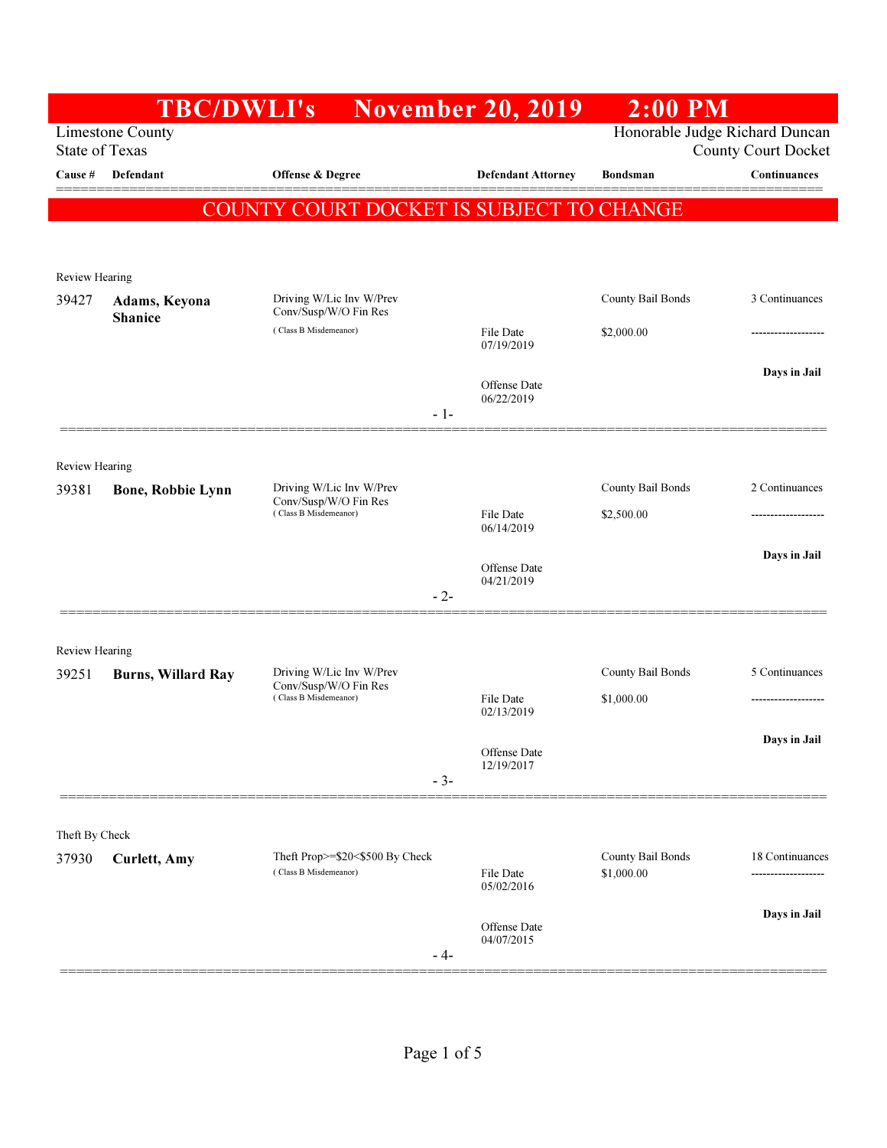|                         | <b>TBC/DWLI's</b>               |                                                                            | <b>November 20, 2019</b>   | $2:00$ PM                       |                            |
|-------------------------|---------------------------------|----------------------------------------------------------------------------|----------------------------|---------------------------------|----------------------------|
| <b>State of Texas</b>   | <b>Limestone County</b>         |                                                                            |                            | Honorable Judge Richard Duncan  | <b>County Court Docket</b> |
| Cause #                 | Defendant                       | Offense & Degree                                                           | <b>Defendant Attorney</b>  | <b>Bondsman</b>                 | Continuances               |
|                         |                                 | COUNTY COURT DOCKET IS SUBJECT TO CHANGE                                   |                            |                                 |                            |
|                         |                                 |                                                                            |                            |                                 |                            |
| <b>Review Hearing</b>   |                                 |                                                                            |                            |                                 |                            |
| 39427                   | Adams, Keyona<br><b>Shanice</b> | Driving W/Lic Inv W/Prev<br>Conv/Susp/W/O Fin Res                          |                            | County Bail Bonds               | 3 Continuances             |
|                         |                                 | (Class B Misdemeanor)                                                      | File Date<br>07/19/2019    | \$2,000.00                      |                            |
|                         |                                 |                                                                            | Offense Date               |                                 | Days in Jail               |
|                         |                                 | $-1-$                                                                      | 06/22/2019                 |                                 |                            |
|                         |                                 |                                                                            |                            |                                 |                            |
| Review Hearing          |                                 |                                                                            |                            |                                 |                            |
| 39381                   | Bone, Robbie Lynn               | Driving W/Lic Inv W/Prev<br>Conv/Susp/W/O Fin Res<br>(Class B Misdemeanor) | File Date                  | County Bail Bonds               | 2 Continuances             |
|                         |                                 |                                                                            | 06/14/2019                 | \$2,500.00                      |                            |
|                         |                                 |                                                                            | Offense Date               |                                 | Days in Jail               |
|                         |                                 | - 2-                                                                       | 04/21/2019                 |                                 |                            |
|                         |                                 |                                                                            |                            |                                 |                            |
| Review Hearing<br>39251 | <b>Burns, Willard Ray</b>       | Driving W/Lic Inv W/Prev                                                   |                            | County Bail Bonds               | 5 Continuances             |
|                         |                                 | Conv/Susp/W/O Fin Res<br>(Class B Misdemeanor)                             | File Date<br>02/13/2019    | \$1,000.00                      | -------------------        |
|                         |                                 |                                                                            |                            |                                 | Days in Jail               |
|                         |                                 |                                                                            | Offense Date<br>12/19/2017 |                                 |                            |
|                         |                                 | $-3-$                                                                      |                            |                                 |                            |
| Theft By Check          |                                 |                                                                            |                            |                                 |                            |
| 37930                   | <b>Curlett</b> , Amy            | Theft Prop>=\$20<\$500 By Check<br>(Class B Misdemeanor)                   | File Date                  | County Bail Bonds<br>\$1,000.00 | 18 Continuances            |
|                         |                                 |                                                                            | 05/02/2016                 |                                 |                            |
|                         |                                 |                                                                            | Offense Date<br>04/07/2015 |                                 | Days in Jail               |
|                         |                                 | - 4-                                                                       |                            |                                 |                            |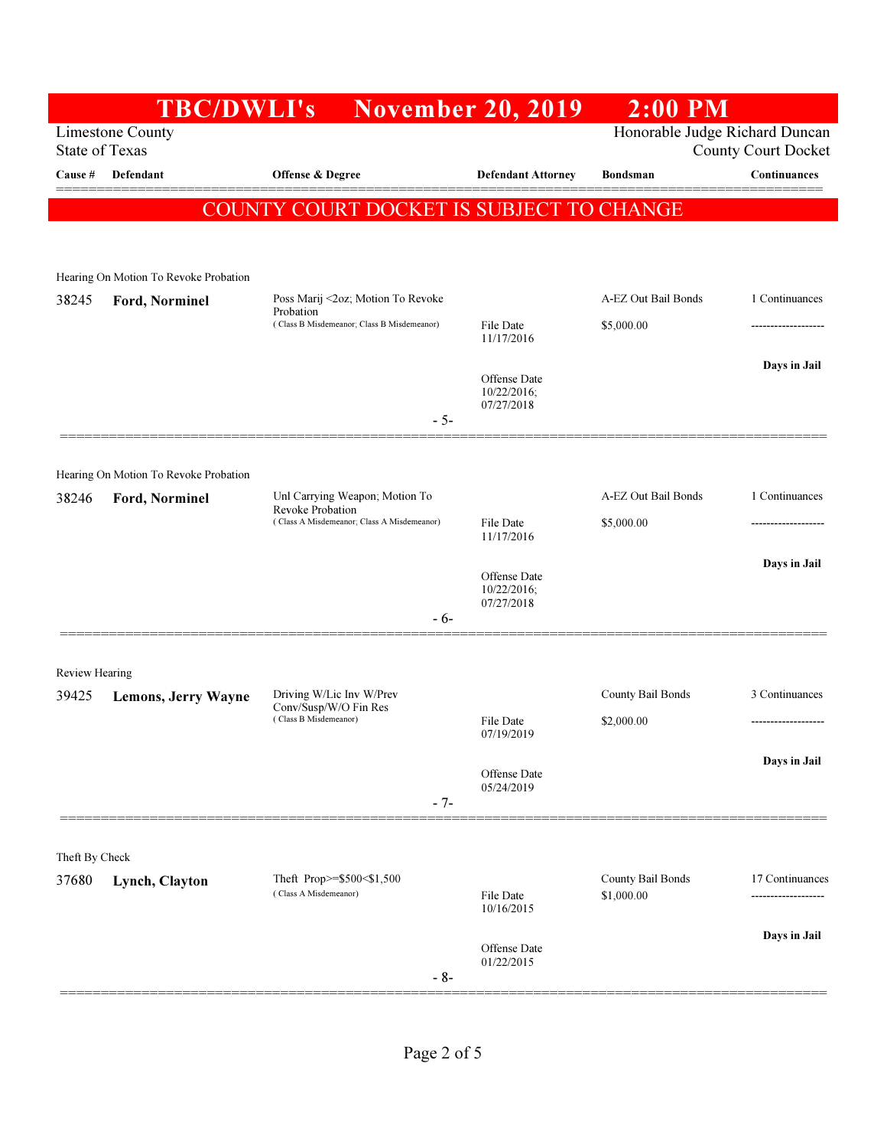|                       | <b>TBC/DWLI's</b>                                |                                                                            | <b>November 20, 2019</b>   | $2:00$ PM                       |                                      |
|-----------------------|--------------------------------------------------|----------------------------------------------------------------------------|----------------------------|---------------------------------|--------------------------------------|
|                       | <b>Limestone County</b><br><b>State of Texas</b> |                                                                            |                            | Honorable Judge Richard Duncan  | <b>County Court Docket</b>           |
| Cause #               | Defendant                                        | Offense & Degree                                                           | <b>Defendant Attorney</b>  | <b>Bondsman</b>                 | Continuances                         |
|                       |                                                  | COUNTY COURT DOCKET IS SUBJECT TO CHANGE                                   |                            |                                 |                                      |
|                       |                                                  |                                                                            |                            |                                 |                                      |
|                       | Hearing On Motion To Revoke Probation            |                                                                            |                            |                                 |                                      |
| 38245                 | Ford, Norminel                                   | Poss Marij <2oz; Motion To Revoke                                          |                            | A-EZ Out Bail Bonds             | 1 Continuances                       |
|                       |                                                  | Probation<br>(Class B Misdemeanor; Class B Misdemeanor)                    | File Date                  | \$5,000.00                      |                                      |
|                       |                                                  |                                                                            | 11/17/2016                 |                                 |                                      |
|                       |                                                  |                                                                            | Offense Date               |                                 | Days in Jail                         |
|                       |                                                  |                                                                            | 10/22/2016;<br>07/27/2018  |                                 |                                      |
|                       |                                                  | $-5-$                                                                      |                            |                                 |                                      |
|                       | Hearing On Motion To Revoke Probation            |                                                                            |                            |                                 |                                      |
| 38246                 | Ford, Norminel                                   | Unl Carrying Weapon; Motion To                                             |                            | A-EZ Out Bail Bonds             | 1 Continuances                       |
|                       |                                                  | Revoke Probation<br>(Class A Misdemeanor; Class A Misdemeanor)             | File Date                  | \$5,000.00                      |                                      |
|                       |                                                  |                                                                            | 11/17/2016                 |                                 |                                      |
|                       |                                                  |                                                                            | Offense Date               |                                 | Days in Jail                         |
|                       |                                                  |                                                                            | 10/22/2016;<br>07/27/2018  |                                 |                                      |
|                       |                                                  | $-6-$                                                                      |                            |                                 |                                      |
| <b>Review Hearing</b> |                                                  |                                                                            |                            |                                 |                                      |
| 39425                 | <b>Lemons, Jerry Wayne</b>                       | Driving W/Lic Inv W/Prev<br>Conv/Susp/W/O Fin Res<br>(Class B Misdemeanor) |                            | County Bail Bonds               | 3 Continuances                       |
|                       |                                                  |                                                                            | File Date                  | \$2,000.00                      |                                      |
|                       |                                                  |                                                                            | 07/19/2019                 |                                 |                                      |
|                       |                                                  |                                                                            | Offense Date<br>05/24/2019 |                                 | Days in Jail                         |
|                       |                                                  | $-7-$                                                                      |                            |                                 |                                      |
|                       |                                                  |                                                                            |                            |                                 |                                      |
| Theft By Check        |                                                  |                                                                            |                            |                                 |                                      |
| 37680                 | Lynch, Clayton                                   | Theft Prop>=\$500<\$1,500<br>(Class A Misdemeanor)                         | File Date                  | County Bail Bonds<br>\$1,000.00 | 17 Continuances<br>----------------- |
|                       |                                                  |                                                                            | 10/16/2015                 |                                 |                                      |
|                       |                                                  |                                                                            | Offense Date               |                                 | Days in Jail                         |
|                       |                                                  | $-8-$                                                                      | 01/22/2015                 |                                 |                                      |
|                       |                                                  |                                                                            |                            |                                 |                                      |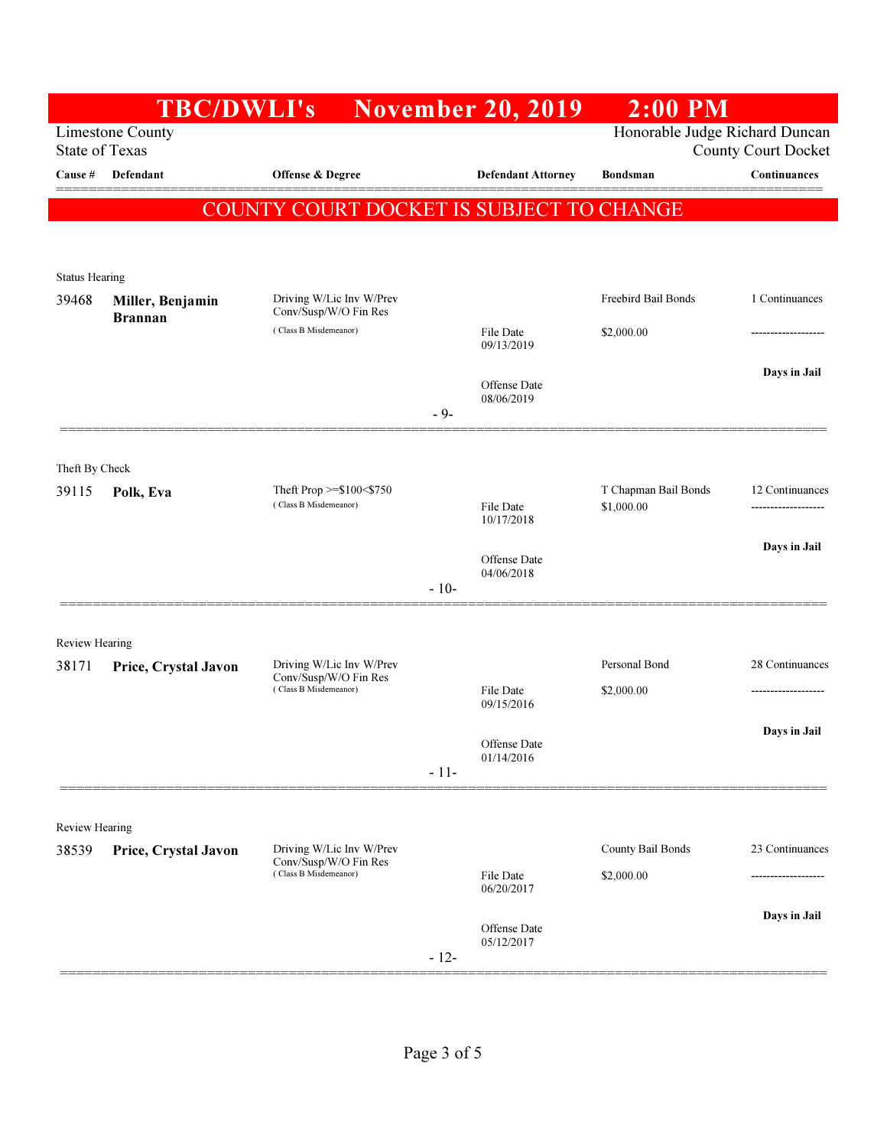|                                | <b>TBC/DWLI's</b>                                |                                                                            | <b>November 20, 2019</b>   | $2:00$ PM                          |                                        |
|--------------------------------|--------------------------------------------------|----------------------------------------------------------------------------|----------------------------|------------------------------------|----------------------------------------|
|                                | <b>Limestone County</b><br><b>State of Texas</b> |                                                                            |                            | Honorable Judge Richard Duncan     | <b>County Court Docket</b>             |
| Cause #                        | Defendant                                        | Offense & Degree                                                           | <b>Defendant Attorney</b>  | <b>Bondsman</b>                    | Continuances                           |
|                                |                                                  | COUNTY COURT DOCKET IS SUBJECT TO CHANGE                                   |                            |                                    |                                        |
|                                |                                                  |                                                                            |                            |                                    |                                        |
| <b>Status Hearing</b>          |                                                  |                                                                            |                            |                                    |                                        |
| 39468                          | Miller, Benjamin                                 | Driving W/Lic Inv W/Prev<br>Conv/Susp/W/O Fin Res                          |                            | <b>Freebird Bail Bonds</b>         | 1 Continuances                         |
|                                | <b>Brannan</b>                                   | (Class B Misdemeanor)                                                      | File Date<br>09/13/2019    | \$2,000.00                         |                                        |
|                                |                                                  |                                                                            |                            |                                    | Days in Jail                           |
|                                |                                                  |                                                                            | Offense Date<br>08/06/2019 |                                    |                                        |
|                                |                                                  |                                                                            | $-9-$                      |                                    |                                        |
| Theft By Check                 |                                                  |                                                                            |                            |                                    |                                        |
| 39115                          | Polk, Eva                                        | Theft Prop $>=\$100$ <\$750<br>(Class B Misdemeanor)                       | File Date                  | T Chapman Bail Bonds<br>\$1,000.00 | 12 Continuances<br>------------------- |
|                                |                                                  |                                                                            | 10/17/2018                 |                                    |                                        |
|                                |                                                  |                                                                            | Offense Date<br>04/06/2018 |                                    | Days in Jail                           |
|                                |                                                  |                                                                            | $-10-$                     |                                    |                                        |
|                                |                                                  |                                                                            |                            |                                    |                                        |
| <b>Review Hearing</b><br>38171 | Price, Crystal Javon                             | Driving W/Lic Inv W/Prev                                                   |                            | Personal Bond                      | 28 Continuances                        |
|                                |                                                  | Conv/Susp/W/O Fin Res<br>(Class B Misdemeanor)                             | File Date<br>09/15/2016    | \$2,000.00                         |                                        |
|                                |                                                  |                                                                            |                            |                                    | Days in Jail                           |
|                                |                                                  |                                                                            | Offense Date<br>01/14/2016 |                                    |                                        |
|                                |                                                  |                                                                            | $-11-$                     |                                    |                                        |
| Review Hearing                 |                                                  |                                                                            |                            |                                    |                                        |
| 38539                          | Price, Crystal Javon                             | Driving W/Lic Inv W/Prev<br>Conv/Susp/W/O Fin Res<br>(Class B Misdemeanor) |                            | County Bail Bonds                  | 23 Continuances                        |
|                                |                                                  |                                                                            | File Date<br>06/20/2017    | \$2,000.00                         |                                        |
|                                |                                                  |                                                                            | Offense Date               |                                    | Days in Jail                           |
|                                |                                                  |                                                                            | 05/12/2017<br>$-12-$       |                                    |                                        |
|                                |                                                  |                                                                            |                            |                                    |                                        |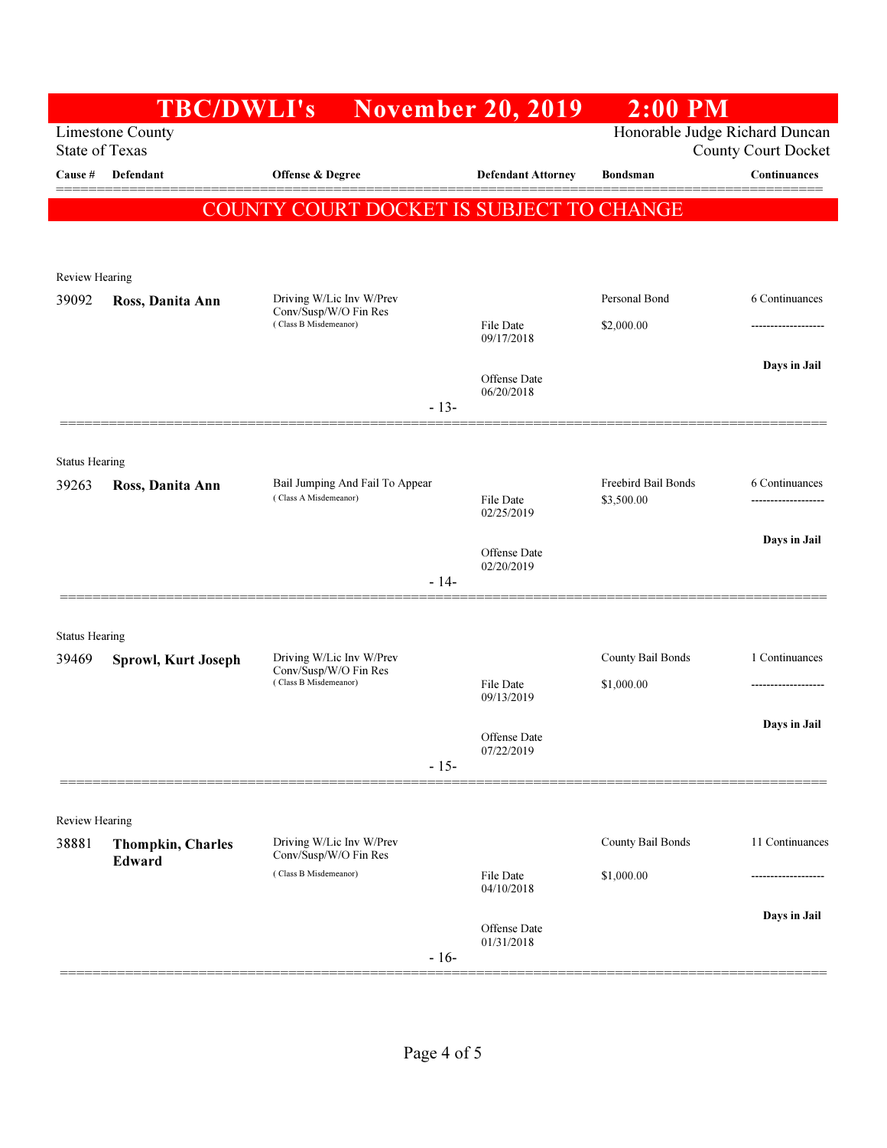|                       | <b>TBC/DWLI's</b>                                |                                                          | <b>November 20, 2019</b>   | $2:00$ PM                                |                            |
|-----------------------|--------------------------------------------------|----------------------------------------------------------|----------------------------|------------------------------------------|----------------------------|
|                       | <b>Limestone County</b><br><b>State of Texas</b> |                                                          |                            | Honorable Judge Richard Duncan           | <b>County Court Docket</b> |
| Cause #               | Defendant                                        | Offense & Degree                                         | <b>Defendant Attorney</b>  | <b>Bondsman</b>                          | Continuances               |
|                       |                                                  | COUNTY COURT DOCKET IS SUBJECT TO CHANGE                 |                            |                                          |                            |
|                       |                                                  |                                                          |                            |                                          |                            |
| Review Hearing        |                                                  |                                                          |                            |                                          |                            |
| 39092                 | Ross, Danita Ann                                 | Driving W/Lic Inv W/Prev<br>Conv/Susp/W/O Fin Res        |                            | Personal Bond                            | 6 Continuances             |
|                       |                                                  | (Class B Misdemeanor)                                    | File Date<br>09/17/2018    | \$2,000.00                               | ------------------         |
|                       |                                                  |                                                          | Offense Date               |                                          | Days in Jail               |
|                       |                                                  | $-13-$                                                   | 06/20/2018                 |                                          |                            |
|                       |                                                  |                                                          |                            |                                          |                            |
| <b>Status Hearing</b> |                                                  |                                                          |                            |                                          |                            |
| 39263                 | Ross, Danita Ann                                 | Bail Jumping And Fail To Appear<br>(Class A Misdemeanor) | File Date                  | <b>Freebird Bail Bonds</b><br>\$3,500.00 | 6 Continuances             |
|                       |                                                  |                                                          | 02/25/2019                 |                                          |                            |
|                       |                                                  |                                                          | Offense Date<br>02/20/2019 |                                          | Days in Jail               |
|                       |                                                  | $-14-$                                                   |                            |                                          |                            |
| <b>Status Hearing</b> |                                                  |                                                          |                            |                                          |                            |
| 39469                 | <b>Sprowl, Kurt Joseph</b>                       | Driving W/Lic Inv W/Prev                                 |                            | County Bail Bonds                        | 1 Continuances             |
|                       |                                                  | Conv/Susp/W/O Fin Res<br>(Class B Misdemeanor)           | File Date<br>09/13/2019    | \$1,000.00                               | -------------------        |
|                       |                                                  |                                                          |                            |                                          | Days in Jail               |
|                       |                                                  |                                                          | Offense Date<br>07/22/2019 |                                          |                            |
|                       |                                                  | $-15-$                                                   |                            |                                          |                            |
| <b>Review Hearing</b> |                                                  |                                                          |                            |                                          |                            |
| 38881                 | <b>Thompkin, Charles</b><br>Edward               | Driving W/Lic Inv W/Prev<br>Conv/Susp/W/O Fin Res        |                            | County Bail Bonds                        | 11 Continuances            |
|                       |                                                  | (Class B Misdemeanor)                                    | File Date<br>04/10/2018    | \$1,000.00                               |                            |
|                       |                                                  |                                                          |                            |                                          | Days in Jail               |
|                       |                                                  | $-16-$                                                   | Offense Date<br>01/31/2018 |                                          |                            |
|                       |                                                  |                                                          |                            |                                          |                            |